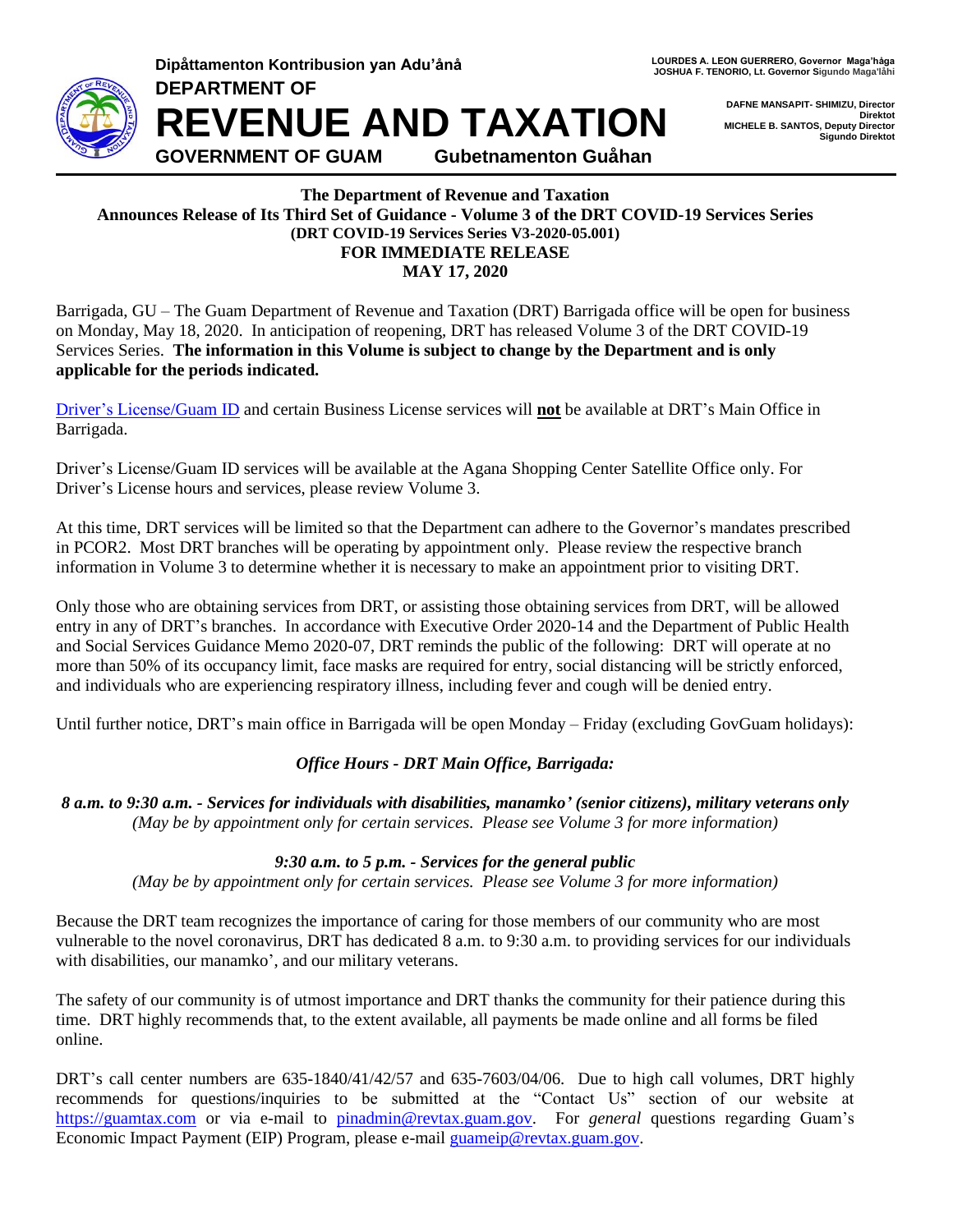**DEPARTMENT OF**



**Dipåttamenton Kontribusion van Adu'ånå LOURDES ALLEON GUERRERO, Governor Maga**'håga **JOSHUA F. TENORIO, Lt. Governor Sigundo Maga'låhi** 

> **DAFNE MANSAPIT- SHIMIZU, Director Direktot MICHELE B. SANTOS, Deputy Director Sigundo Direktot**

**REVENUE AND TAXATION GOVERNMENT OF GUAM Gubetnamenton Guåhan**

#### **The Department of Revenue and Taxation Announces Release of Its Third Set of Guidance - Volume 3 of the DRT COVID-19 Services Series (DRT COVID-19 Services Series V3-2020-05.001) FOR IMMEDIATE RELEASE MAY 17, 2020**

Barrigada, GU – The Guam Department of Revenue and Taxation (DRT) Barrigada office will be open for business on Monday, May 18, 2020. In anticipation of reopening, DRT has released Volume 3 of the DRT COVID-19 Services Series. **The information in this Volume is subject to change by the Department and is only applicable for the periods indicated.**

[Driver's License/Guam](#page-2-0) ID and certain Business License services will **not** be available at DRT's Main Office in Barrigada.

Driver's License/Guam ID services will be available at the Agana Shopping Center Satellite Office only. For Driver's License hours and services, please review Volume 3.

At this time, DRT services will be limited so that the Department can adhere to the Governor's mandates prescribed in PCOR2. Most DRT branches will be operating by appointment only. Please review the respective branch information in Volume 3 to determine whether it is necessary to make an appointment prior to visiting DRT.

Only those who are obtaining services from DRT, or assisting those obtaining services from DRT, will be allowed entry in any of DRT's branches. In accordance with Executive Order 2020-14 and the Department of Public Health and Social Services Guidance Memo 2020-07, DRT reminds the public of the following: DRT will operate at no more than 50% of its occupancy limit, face masks are required for entry, social distancing will be strictly enforced, and individuals who are experiencing respiratory illness, including fever and cough will be denied entry.

Until further notice, DRT's main office in Barrigada will be open Monday – Friday (excluding GovGuam holidays):

#### *Office Hours - DRT Main Office, Barrigada:*

*8 a.m. to 9:30 a.m. - Services for individuals with disabilities, manamko' (senior citizens), military veterans only (May be by appointment only for certain services. Please see Volume 3 for more information)*

#### *9:30 a.m. to 5 p.m. - Services for the general public*

*(May be by appointment only for certain services. Please see Volume 3 for more information)*

Because the DRT team recognizes the importance of caring for those members of our community who are most vulnerable to the novel coronavirus, DRT has dedicated 8 a.m. to 9:30 a.m. to providing services for our individuals with disabilities, our manamko', and our military veterans.

The safety of our community is of utmost importance and DRT thanks the community for their patience during this time. DRT highly recommends that, to the extent available, all payments be made online and all forms be filed online.

DRT's call center numbers are 635-1840/41/42/57 and 635-7603/04/06. Due to high call volumes, DRT highly recommends for questions/inquiries to be submitted at the "Contact Us" section of our website at [https://guamtax.com](https://guamtax.com/) or via e-mail to [pinadmin@revtax.guam.gov.](mailto:pinadmin@revtax.guam.gov) For *general* questions regarding Guam's Economic Impact Payment (EIP) Program, please e-mail [guameip@revtax.guam.gov.](mailto:guameip@revtax.guam.gov)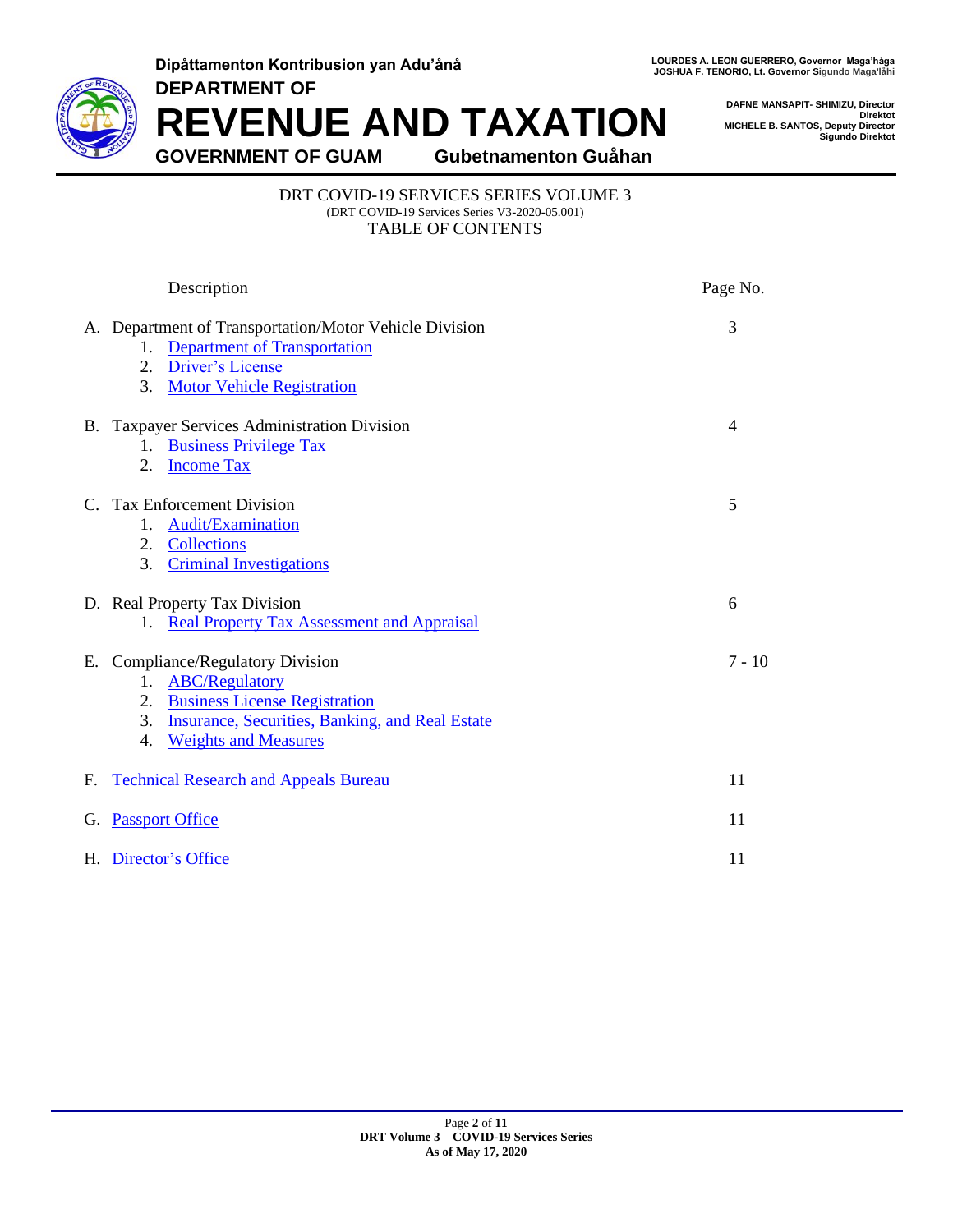**Dipåttamenton Kontribusion yan Adu'ånå DEPARTMENT OF**



LOURDES A. LEON GUERRERO, Governor Maga'håga<br>JOSHUA F. TENORIO, Lt. Governor Sigundo Maga'låhi

**DAFNE MANSAPIT- SHIMIZU, Director Direktot MICHELE B. SANTOS, Deputy Director Sigundo Direktot**

**REVENUE AND TAXATION**

**GOVERNMENT OF GUAM Gubetnamenton Guåhan**

#### DRT COVID-19 SERVICES SERIES VOLUME 3 (DRT COVID-19 Services Series V3-2020-05.001) TABLE OF CONTENTS

|    | Description                                                                                                                                                                                                         | Page No. |
|----|---------------------------------------------------------------------------------------------------------------------------------------------------------------------------------------------------------------------|----------|
|    | A. Department of Transportation/Motor Vehicle Division<br><b>Department of Transportation</b><br>1.<br>Driver's License<br>2.<br>3.<br><b>Motor Vehicle Registration</b>                                            | 3        |
|    | B. Taxpayer Services Administration Division<br>1. Business Privilege Tax<br><b>Income Tax</b><br>2.                                                                                                                | 4        |
|    | C. Tax Enforcement Division<br>Audit/Examination<br>1.<br>Collections<br>2.<br><b>Criminal Investigations</b><br>3.                                                                                                 | 5        |
|    | D. Real Property Tax Division<br>1. Real Property Tax Assessment and Appraisal                                                                                                                                      | 6        |
|    | E. Compliance/Regulatory Division<br><b>ABC/Regulatory</b><br>1.<br><b>Business License Registration</b><br>2.<br><b>Insurance, Securities, Banking, and Real Estate</b><br>3.<br><b>Weights and Measures</b><br>4. | $7 - 10$ |
| F. | <b>Technical Research and Appeals Bureau</b>                                                                                                                                                                        | 11       |
|    | G. Passport Office                                                                                                                                                                                                  | 11       |
|    | H. Director's Office                                                                                                                                                                                                | 11       |
|    |                                                                                                                                                                                                                     |          |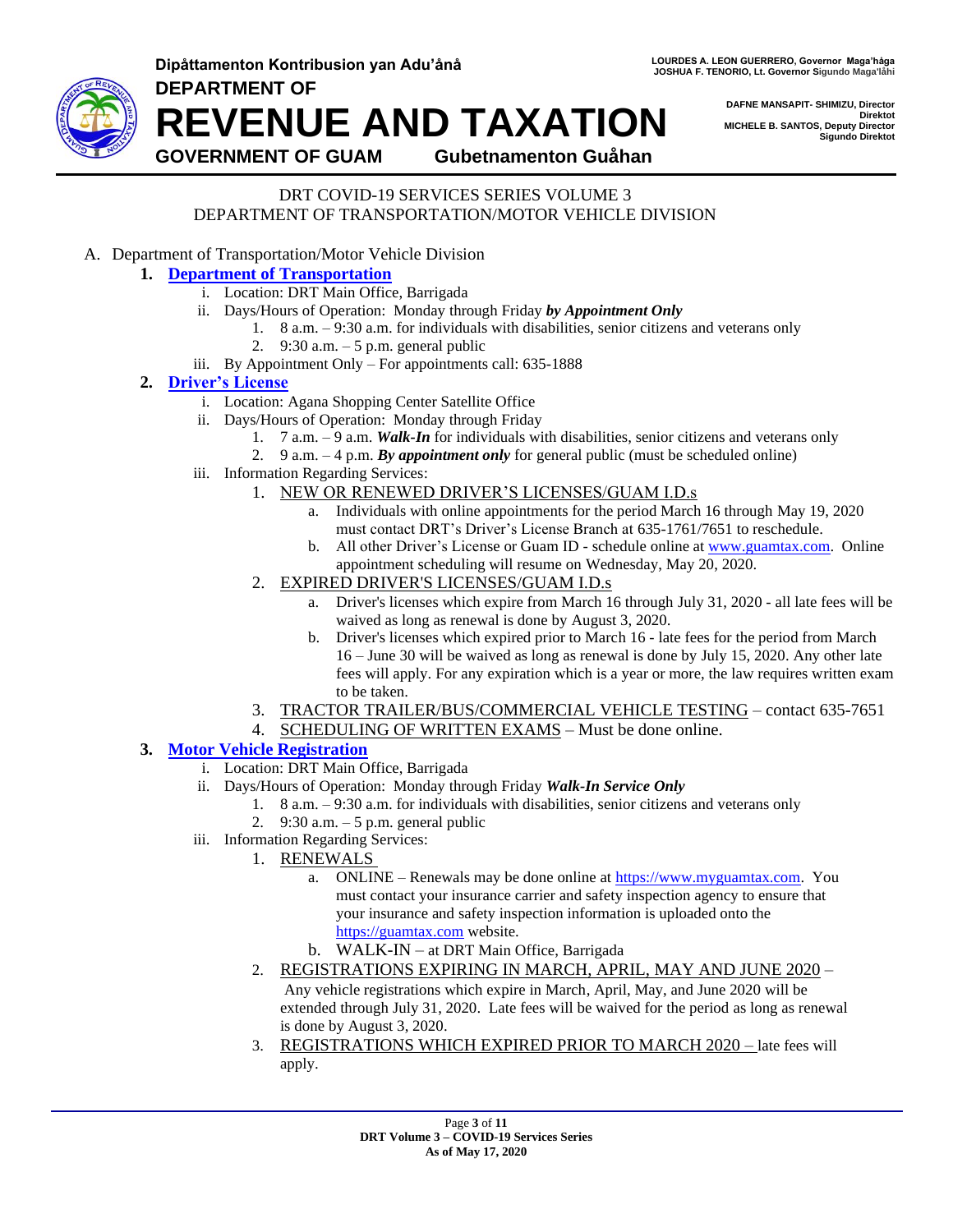

**Dipåttamenton Kontribusion yan Adu'ånå LOURDES ALLEON GUERRERO, Governor Maga**'håga **DEPARTMENT OF REVENUE AND TAXATION**

**DAFNE MANSAPIT- SHIMIZU, Director Direktot MICHELE B. SANTOS, Deputy Director Sigundo Direktot**

**GOVERNMENT OF GUAM Gubetnamenton Guåhan**

#### DRT COVID-19 SERVICES SERIES VOLUME 3 DEPARTMENT OF TRANSPORTATION/MOTOR VEHICLE DIVISION

<span id="page-2-1"></span>A. Department of Transportation/Motor Vehicle Division

### **1. [Department of Transportation](#page-2-1)**

- i. Location: DRT Main Office, Barrigada
- ii. Days/Hours of Operation: Monday through Friday *by Appointment Only*
	- 1. 8 a.m. 9:30 a.m. for individuals with disabilities, senior citizens and veterans only
	- 2. 9:30 a.m. 5 p.m. general public
- iii. By Appointment Only For appointments call: 635-1888

#### <span id="page-2-0"></span>**2. [Driver's License](#page-2-0)**

- i. Location: Agana Shopping Center Satellite Office
- ii. Days/Hours of Operation: Monday through Friday
	- 1. 7 a.m. 9 a.m. *Walk-In* for individuals with disabilities, senior citizens and veterans only
	- 2. 9 a.m. 4 p.m. *By appointment only* for general public (must be scheduled online)
- iii. Information Regarding Services:
	- 1. NEW OR RENEWED DRIVER'S LICENSES/GUAM I.D.s
		- a. Individuals with online appointments for the period March 16 through May 19, 2020 must contact DRT's Driver's License Branch at 635-1761/7651 to reschedule.
		- b. All other Driver's License or Guam ID schedule online at [www.guamtax.com.](http://www.guamtax.com/) Online appointment scheduling will resume on Wednesday, May 20, 2020.
	- 2. EXPIRED DRIVER'S LICENSES/GUAM I.D.s
		- a. Driver's licenses which expire from March 16 through July 31, 2020 all late fees will be waived as long as renewal is done by August 3, 2020.
		- b. Driver's licenses which expired prior to March 16 late fees for the period from March 16 – June 30 will be waived as long as renewal is done by July 15, 2020. Any other late fees will apply. For any expiration which is a year or more, the law requires written exam to be taken.
	- 3. TRACTOR TRAILER/BUS/COMMERCIAL VEHICLE TESTING contact 635-7651
	- 4. SCHEDULING OF WRITTEN EXAMS Must be done online.

#### <span id="page-2-2"></span>**3. [Motor Vehicle Registration](#page-2-2)**

- i. Location: DRT Main Office, Barrigada
- ii. Days/Hours of Operation: Monday through Friday *Walk-In Service Only*
	- 1. 8 a.m. 9:30 a.m. for individuals with disabilities, senior citizens and veterans only
	- 2. 9:30 a.m. 5 p.m. general public
- iii. Information Regarding Services:
	- 1. RENEWALS
		- a. ONLINE Renewals may be done online at [https://www.myguamtax.com.](https://www.myguamtax.com/) You must contact your insurance carrier and safety inspection agency to ensure that your insurance and safety inspection information is uploaded onto the [https://guamtax.com](https://guamtax.com/) website.
		- b. WALK-IN at DRT Main Office, Barrigada
	- 2. REGISTRATIONS EXPIRING IN MARCH, APRIL, MAY AND JUNE 2020 –

Any vehicle registrations which expire in March, April, May, and June 2020 will be extended through July 31, 2020. Late fees will be waived for the period as long as renewal is done by August 3, 2020.

3. REGISTRATIONS WHICH EXPIRED PRIOR TO MARCH 2020 – late fees will apply.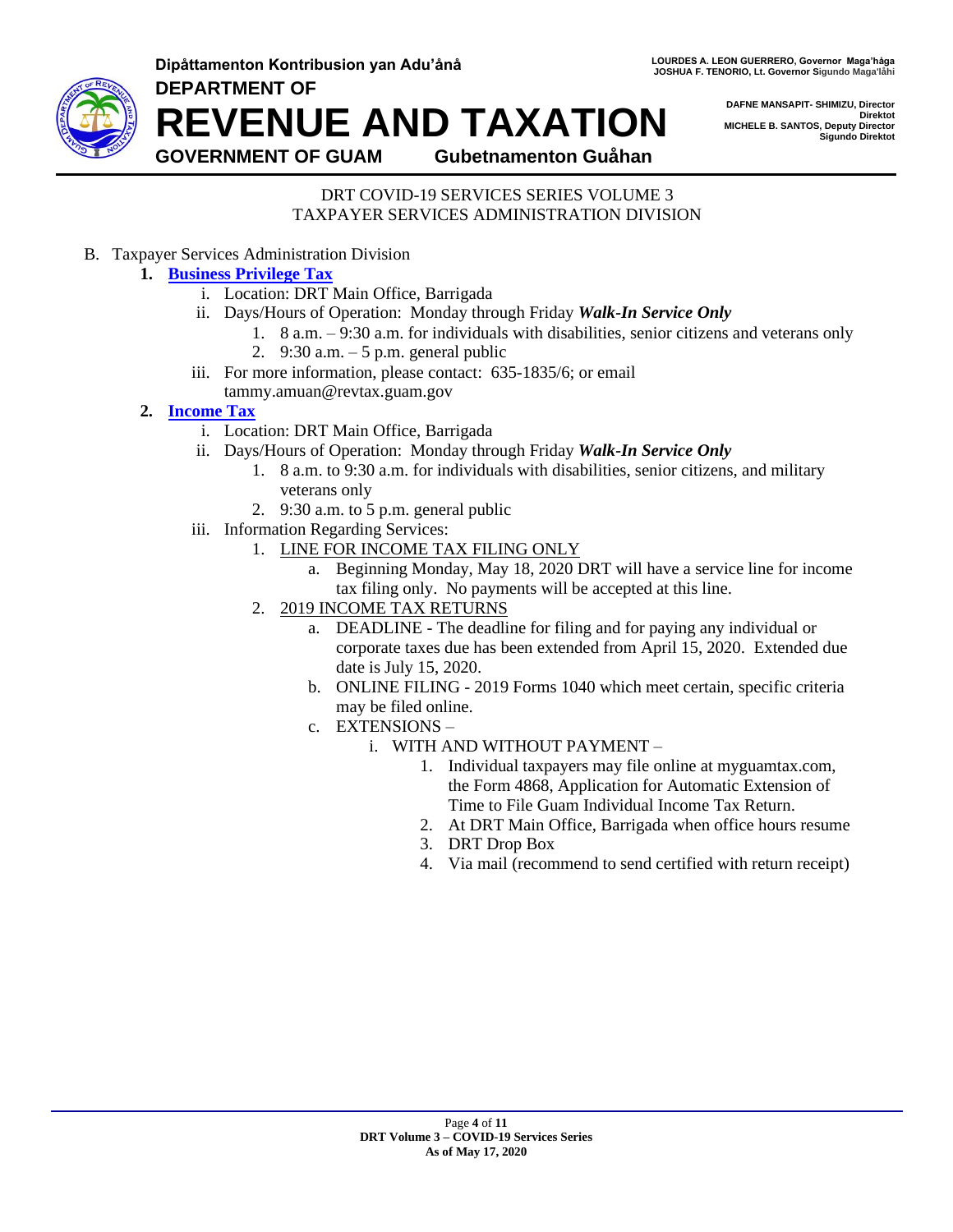

**Dipåttamenton Kontribusion yan Adu'ånå LOURDES ALLEON GUERRERO, Governor Maga**'håga **JOSHUA F. TENORIO, Lt. Governor Sigundo Maga'låhi** 

> **DAFNE MANSAPIT- SHIMIZU, Director Direktot MICHELE B. SANTOS, Deputy Director Sigundo Direktot**

**DEPARTMENT OF REVENUE AND TAXATION**

**GOVERNMENT OF GUAM Gubetnamenton Guåhan**

#### DRT COVID-19 SERVICES SERIES VOLUME 3 TAXPAYER SERVICES ADMINISTRATION DIVISION

<span id="page-3-0"></span>B. Taxpayer Services Administration Division

## **1. [Business Privilege Tax](#page-3-0)**

- i. Location: DRT Main Office, Barrigada
- ii. Days/Hours of Operation: Monday through Friday *Walk-In Service Only*
	- 1. 8 a.m. 9:30 a.m. for individuals with disabilities, senior citizens and veterans only
		- 2. 9:30 a.m. 5 p.m. general public
- iii. For more information, please contact: 635-1835/6; or email tammy.amuan@revtax.guam.gov
- <span id="page-3-1"></span>**2. [Income Tax](#page-3-1)**
	- i. Location: DRT Main Office, Barrigada
	- ii. Days/Hours of Operation: Monday through Friday *Walk-In Service Only*
		- 1. 8 a.m. to 9:30 a.m. for individuals with disabilities, senior citizens, and military veterans only
		- 2. 9:30 a.m. to 5 p.m. general public
	- iii. Information Regarding Services:
		- 1. LINE FOR INCOME TAX FILING ONLY
			- a. Beginning Monday, May 18, 2020 DRT will have a service line for income tax filing only. No payments will be accepted at this line.
		- 2. 2019 INCOME TAX RETURNS
			- a. DEADLINE The deadline for filing and for paying any individual or corporate taxes due has been extended from April 15, 2020. Extended due date is July 15, 2020.
			- b. ONLINE FILING 2019 Forms 1040 which meet certain, specific criteria may be filed online.
			- c. EXTENSIONS
				- i. WITH AND WITHOUT PAYMENT
					- 1. Individual taxpayers may file online at myguamtax.com, the Form 4868, Application for Automatic Extension of Time to File Guam Individual Income Tax Return.
					- 2. At DRT Main Office, Barrigada when office hours resume
					- 3. DRT Drop Box
					- 4. Via mail (recommend to send certified with return receipt)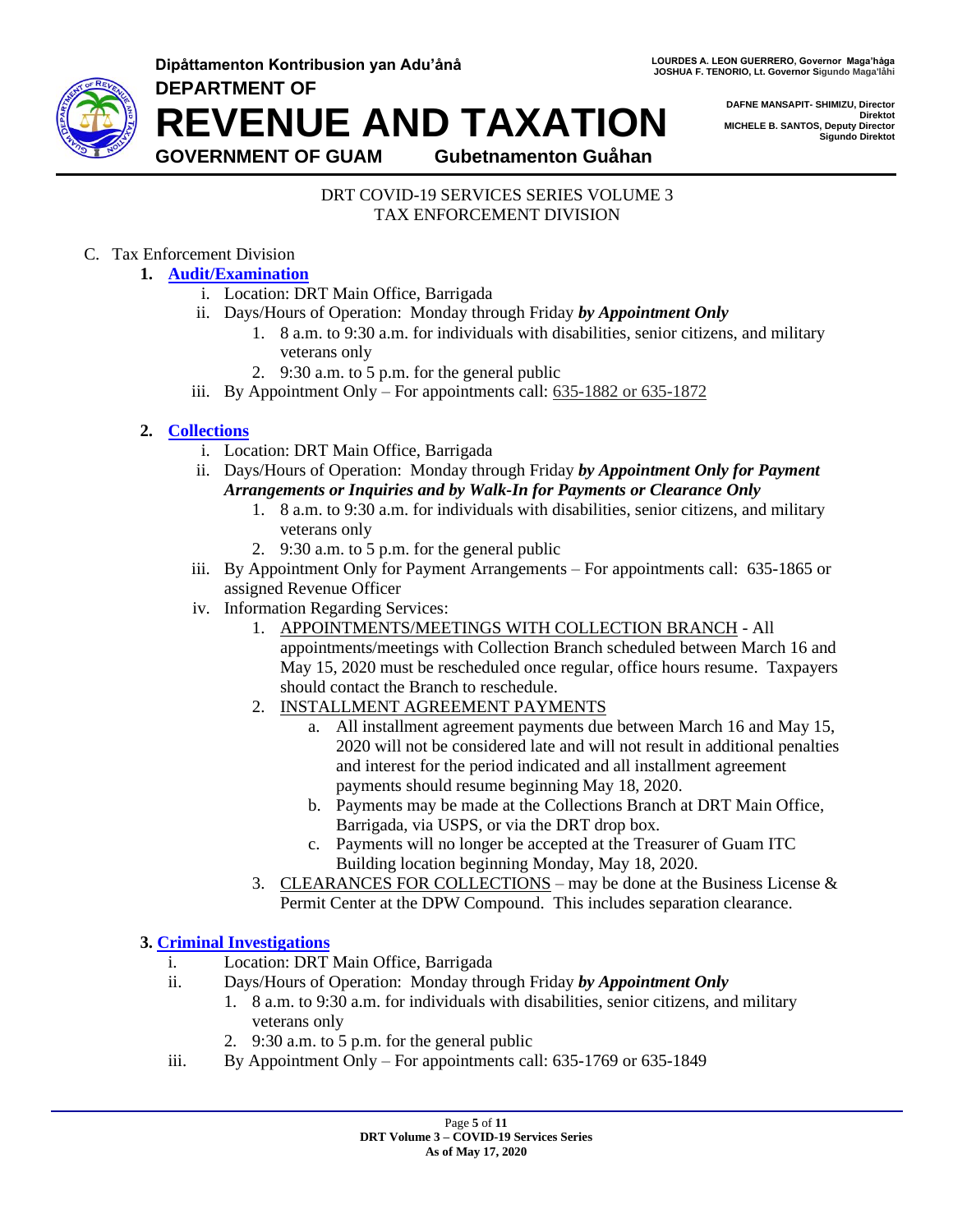**Dipåttamenton Kontribusion yan Adu'ånå LOURDES ALLEON GUERRERO, Governor Maga**'håga **DEPARTMENT OF**



**JOSHUA F. TENORIO, Lt. Governor Sigundo Maga'låhi** 

**DAFNE MANSAPIT- SHIMIZU, Director Direktot MICHELE B. SANTOS, Deputy Director Sigundo Direktot**

**REVENUE AND TAXATION GOVERNMENT OF GUAM Gubetnamenton Guåhan**

#### DRT COVID-19 SERVICES SERIES VOLUME 3 TAX ENFORCEMENT DIVISION

## <span id="page-4-0"></span>C. Tax Enforcement Division

- **1. [Audit/Examination](#page-4-0)**
	- i. Location: DRT Main Office, Barrigada
	- ii. Days/Hours of Operation: Monday through Friday *by Appointment Only*
		- 1. 8 a.m. to 9:30 a.m. for individuals with disabilities, senior citizens, and military veterans only
		- 2. 9:30 a.m. to 5 p.m. for the general public
	- iii. By Appointment Only For appointments call: 635-1882 or 635-1872

## <span id="page-4-1"></span>**2. [Collections](#page-4-1)**

- i. Location: DRT Main Office, Barrigada
- ii. Days/Hours of Operation: Monday through Friday *by Appointment Only for Payment Arrangements or Inquiries and by Walk-In for Payments or Clearance Only*
	- 1. 8 a.m. to 9:30 a.m. for individuals with disabilities, senior citizens, and military veterans only
	- 2. 9:30 a.m. to 5 p.m. for the general public
- iii. By Appointment Only for Payment Arrangements For appointments call: 635-1865 or assigned Revenue Officer
- iv. Information Regarding Services:
	- 1. APPOINTMENTS/MEETINGS WITH COLLECTION BRANCH All appointments/meetings with Collection Branch scheduled between March 16 and May 15, 2020 must be rescheduled once regular, office hours resume. Taxpayers should contact the Branch to reschedule.
	- 2. INSTALLMENT AGREEMENT PAYMENTS
		- a. All installment agreement payments due between March 16 and May 15, 2020 will not be considered late and will not result in additional penalties and interest for the period indicated and all installment agreement payments should resume beginning May 18, 2020.
		- b. Payments may be made at the Collections Branch at DRT Main Office, Barrigada, via USPS, or via the DRT drop box.
		- c. Payments will no longer be accepted at the Treasurer of Guam ITC Building location beginning Monday, May 18, 2020.
	- 3. CLEARANCES FOR COLLECTIONS may be done at the Business License  $\&$ Permit Center at the DPW Compound. This includes separation clearance.

#### <span id="page-4-2"></span>**3. [Criminal Investigations](#page-4-2)**

- i. Location: DRT Main Office, Barrigada
- ii. Days/Hours of Operation: Monday through Friday *by Appointment Only*
	- 1. 8 a.m. to 9:30 a.m. for individuals with disabilities, senior citizens, and military veterans only
	- 2. 9:30 a.m. to 5 p.m. for the general public
- iii. By Appointment Only For appointments call: 635-1769 or 635-1849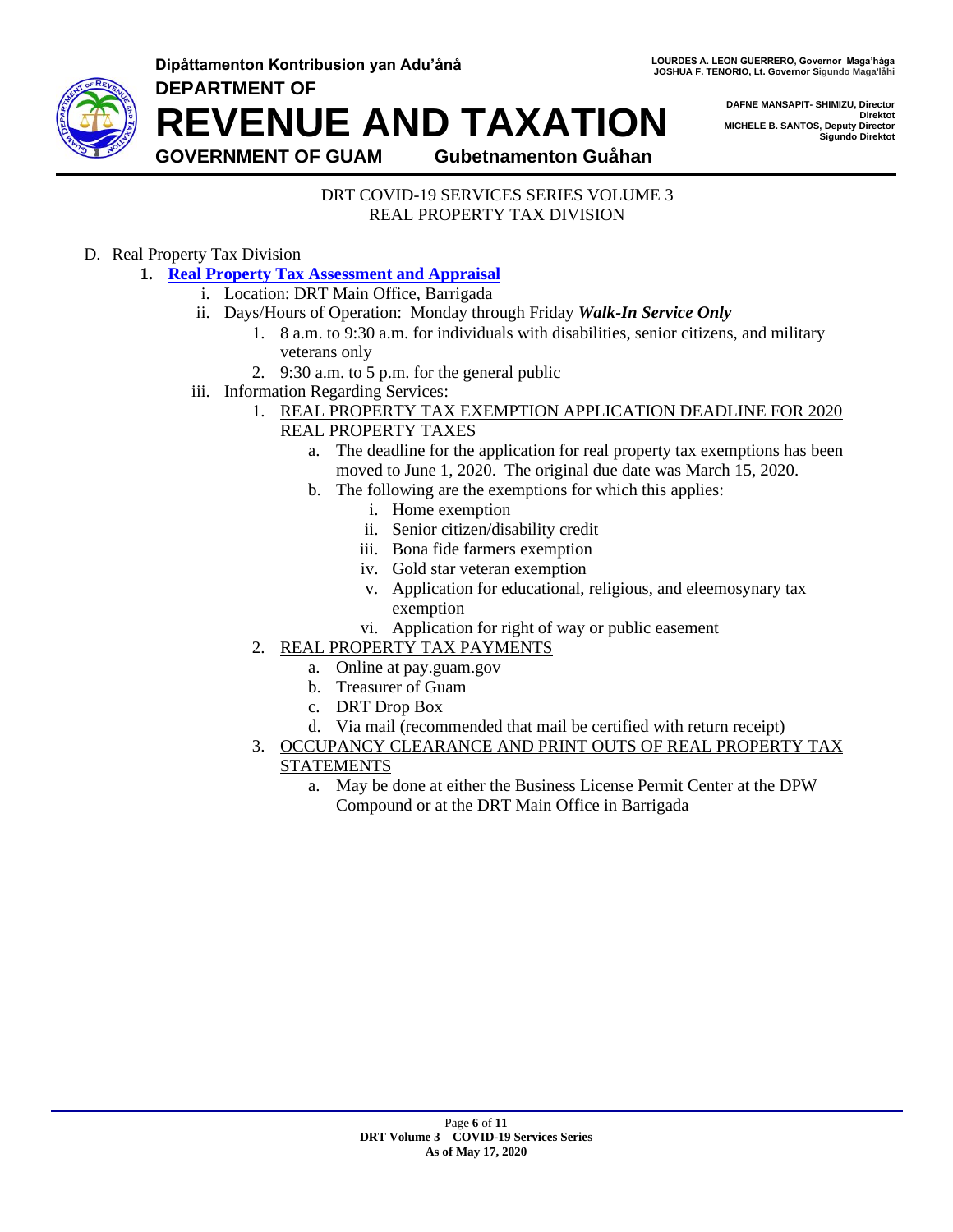

**Dipåttamenton Kontribusion yan Adu'ånå LOURDES ALLEON GUERRERO, Governor Maga**'håga **DEPARTMENT OF REVENUE AND TAXATION GOVERNMENT OF GUAM Gubetnamenton Guåhan**

**DAFNE MANSAPIT- SHIMIZU, Director Direktot MICHELE B. SANTOS, Deputy Director Sigundo Direktot**

DRT COVID-19 SERVICES SERIES VOLUME 3 REAL PROPERTY TAX DIVISION

## <span id="page-5-0"></span>D. Real Property Tax Division

- **1. [Real Property Tax Assessment](#page-5-0) and Appraisal**
	- i. Location: DRT Main Office, Barrigada
	- ii. Days/Hours of Operation: Monday through Friday *Walk-In Service Only*
		- 1. 8 a.m. to 9:30 a.m. for individuals with disabilities, senior citizens, and military veterans only
		- 2. 9:30 a.m. to 5 p.m. for the general public
	- iii. Information Regarding Services:
		- 1. REAL PROPERTY TAX EXEMPTION APPLICATION DEADLINE FOR 2020 REAL PROPERTY TAXES
			- a. The deadline for the application for real property tax exemptions has been moved to June 1, 2020. The original due date was March 15, 2020.
			- b. The following are the exemptions for which this applies:
				- i. Home exemption
				- ii. Senior citizen/disability credit
				- iii. Bona fide farmers exemption
				- iv. Gold star veteran exemption
				- v. Application for educational, religious, and eleemosynary tax exemption
				- vi. Application for right of way or public easement
		- 2. REAL PROPERTY TAX PAYMENTS
			- a. Online at pay.guam.gov
			- b. Treasurer of Guam
			- c. DRT Drop Box
			- d. Via mail (recommended that mail be certified with return receipt)
		- 3. OCCUPANCY CLEARANCE AND PRINT OUTS OF REAL PROPERTY TAX
			- STATEMENTS
				- a. May be done at either the Business License Permit Center at the DPW Compound or at the DRT Main Office in Barrigada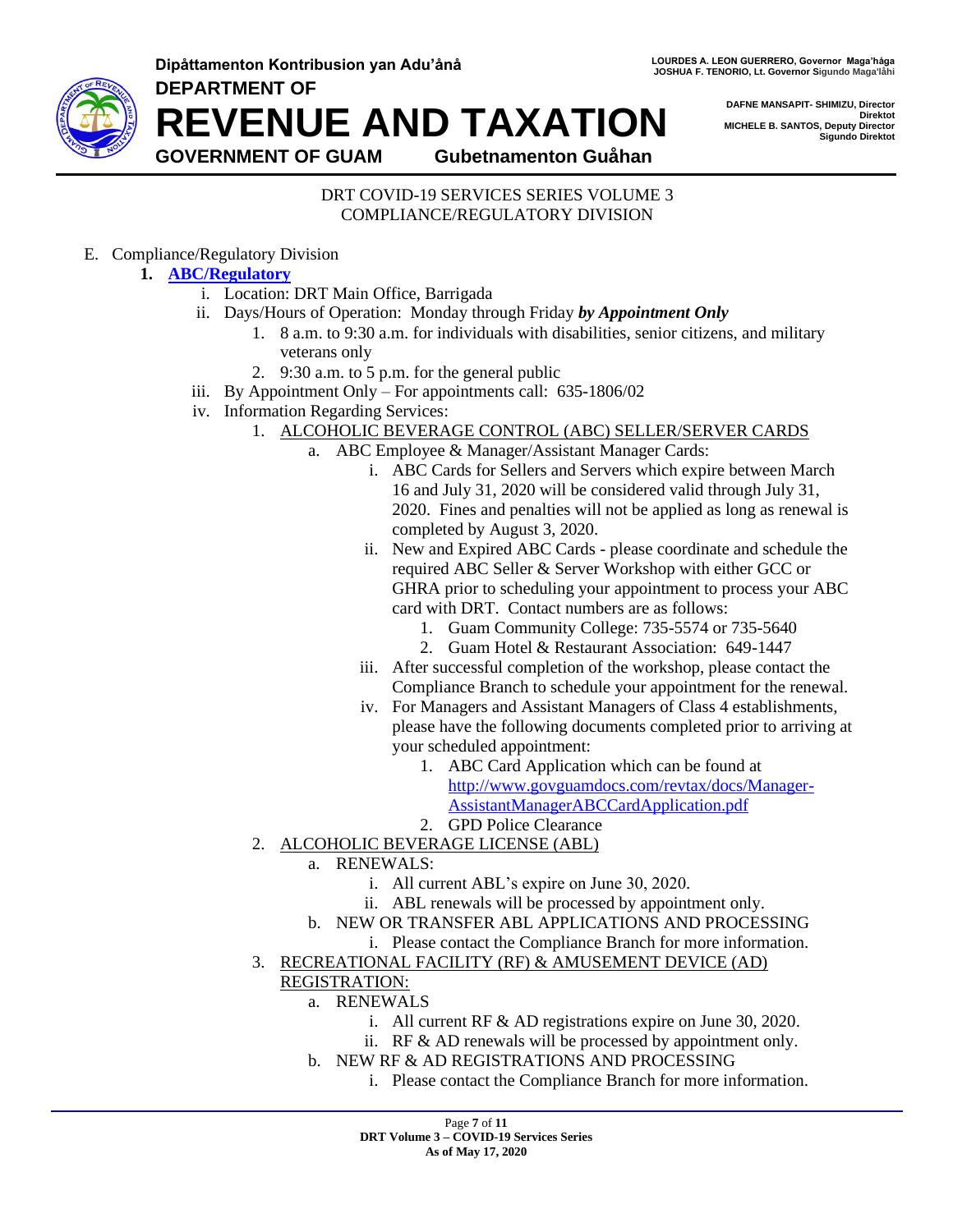**DEPARTMENT OF**



**REVENUE AND TAXATION**

**DAFNE MANSAPIT- SHIMIZU, Director Direktot MICHELE B. SANTOS, Deputy Director Sigundo Direktot**

**GOVERNMENT OF GUAM Gubetnamenton Guåhan**

#### DRT COVID-19 SERVICES SERIES VOLUME 3 COMPLIANCE/REGULATORY DIVISION

<span id="page-6-0"></span>E. Compliance/Regulatory Division

## **1. [ABC/Regulatory](#page-6-0)**

- i. Location: DRT Main Office, Barrigada
- ii. Days/Hours of Operation: Monday through Friday *by Appointment Only*
	- 1. 8 a.m. to 9:30 a.m. for individuals with disabilities, senior citizens, and military veterans only
	- 2. 9:30 a.m. to 5 p.m. for the general public
- iii. By Appointment Only For appointments call: 635-1806/02
- iv. Information Regarding Services:
	- 1. ALCOHOLIC BEVERAGE CONTROL (ABC) SELLER/SERVER CARDS
		- a. ABC Employee & Manager/Assistant Manager Cards:
			- i. ABC Cards for Sellers and Servers which expire between March 16 and July 31, 2020 will be considered valid through July 31, 2020. Fines and penalties will not be applied as long as renewal is completed by August 3, 2020.
			- ii. New and Expired ABC Cards please coordinate and schedule the required ABC Seller & Server Workshop with either GCC or GHRA prior to scheduling your appointment to process your ABC card with DRT. Contact numbers are as follows:
				- 1. Guam Community College: 735-5574 or 735-5640
				- 2. Guam Hotel & Restaurant Association: 649-1447
			- iii. After successful completion of the workshop, please contact the Compliance Branch to schedule your appointment for the renewal.
			- iv. For Managers and Assistant Managers of Class 4 establishments, please have the following documents completed prior to arriving at your scheduled appointment:
				- 1. ABC Card Application which can be found at [http://www.govguamdocs.com/revtax/docs/Manager-](http://www.govguamdocs.com/revtax/docs/Manager-AssistantManagerABCCardApplication.pdf)[AssistantManagerABCCardApplication.pdf](http://www.govguamdocs.com/revtax/docs/Manager-AssistantManagerABCCardApplication.pdf)
				- 2. GPD Police Clearance
		- 2. ALCOHOLIC BEVERAGE LICENSE (ABL)
			- a. RENEWALS:
				- i. All current ABL's expire on June 30, 2020.
				- ii. ABL renewals will be processed by appointment only.
			- b. NEW OR TRANSFER ABL APPLICATIONS AND PROCESSING

i. Please contact the Compliance Branch for more information.

- 3. RECREATIONAL FACILITY (RF) & AMUSEMENT DEVICE (AD)
	- REGISTRATION:
		- a. RENEWALS
			- i. All current RF & AD registrations expire on June 30, 2020.
			- ii. RF & AD renewals will be processed by appointment only.
		- b. NEW RF & AD REGISTRATIONS AND PROCESSING
			- i. Please contact the Compliance Branch for more information.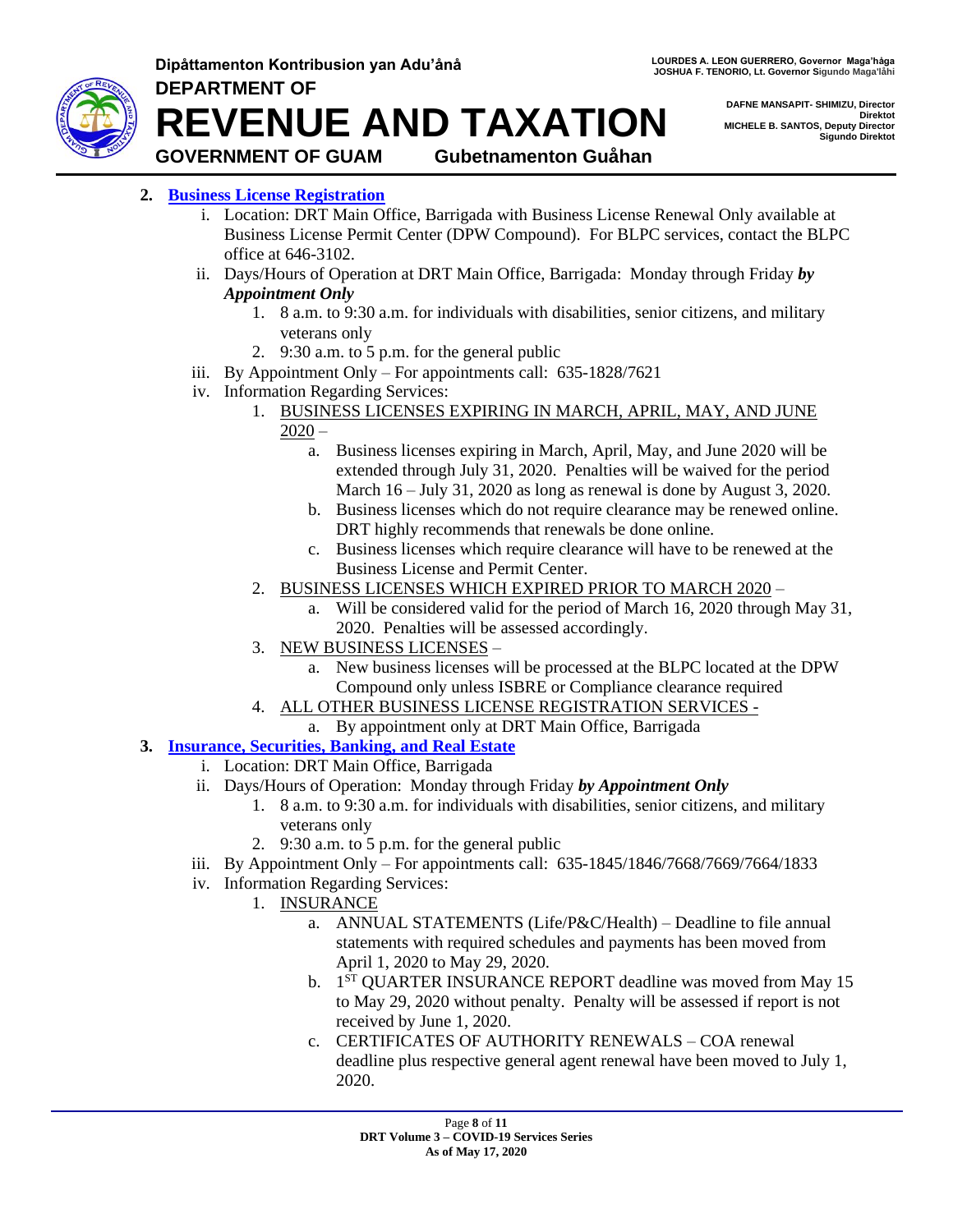

**Dipåttamenton Kontribusion yan Adu'ånå LOURDES ALLEON GUERRERO, Governor Maga**'håga **DEPARTMENT OF**

**DAFNE MANSAPIT- SHIMIZU, Director Direktot MICHELE B. SANTOS, Deputy Director Sigundo Direktot**

**REVENUE AND TAXATION**

## **GOVERNMENT OF GUAM Gubetnamenton Guåhan**

- <span id="page-7-0"></span>**2. [Business License Registration](#page-7-0)**
	- i. Location: DRT Main Office, Barrigada with Business License Renewal Only available at Business License Permit Center (DPW Compound). For BLPC services, contact the BLPC office at 646-3102.
	- ii. Days/Hours of Operation at DRT Main Office, Barrigada: Monday through Friday *by Appointment Only*
		- 1. 8 a.m. to 9:30 a.m. for individuals with disabilities, senior citizens, and military veterans only
		- 2. 9:30 a.m. to 5 p.m. for the general public
	- iii. By Appointment Only For appointments call: 635-1828/7621
	- iv. Information Regarding Services:
		- 1. BUSINESS LICENSES EXPIRING IN MARCH, APRIL, MAY, AND JUNE
			- $2020$ 
				- a. Business licenses expiring in March, April, May, and June 2020 will be extended through July 31, 2020. Penalties will be waived for the period March 16 – July 31, 2020 as long as renewal is done by August 3, 2020.
				- b. Business licenses which do not require clearance may be renewed online. DRT highly recommends that renewals be done online.
				- c. Business licenses which require clearance will have to be renewed at the Business License and Permit Center.
		- 2. BUSINESS LICENSES WHICH EXPIRED PRIOR TO MARCH 2020
			- a. Will be considered valid for the period of March 16, 2020 through May 31, 2020. Penalties will be assessed accordingly.
		- 3. NEW BUSINESS LICENSES
			- a. New business licenses will be processed at the BLPC located at the DPW Compound only unless ISBRE or Compliance clearance required
		- 4. ALL OTHER BUSINESS LICENSE REGISTRATION SERVICES
			- a. By appointment only at DRT Main Office, Barrigada
- <span id="page-7-1"></span>**3. [Insurance, Securities, Banking, and Real Estate](#page-7-1)**
	- i. Location: DRT Main Office, Barrigada
	- ii. Days/Hours of Operation: Monday through Friday *by Appointment Only*
		- 1. 8 a.m. to 9:30 a.m. for individuals with disabilities, senior citizens, and military veterans only
		- 2. 9:30 a.m. to 5 p.m. for the general public
	- iii. By Appointment Only For appointments call: 635-1845/1846/7668/7669/7664/1833
	- iv. Information Regarding Services:
		- 1. INSURANCE
			- a. ANNUAL STATEMENTS (Life/P&C/Health) Deadline to file annual statements with required schedules and payments has been moved from April 1, 2020 to May 29, 2020.
			- b. 1<sup>ST</sup> QUARTER INSURANCE REPORT deadline was moved from May 15 to May 29, 2020 without penalty. Penalty will be assessed if report is not received by June 1, 2020.
			- c. CERTIFICATES OF AUTHORITY RENEWALS COA renewal deadline plus respective general agent renewal have been moved to July 1, 2020.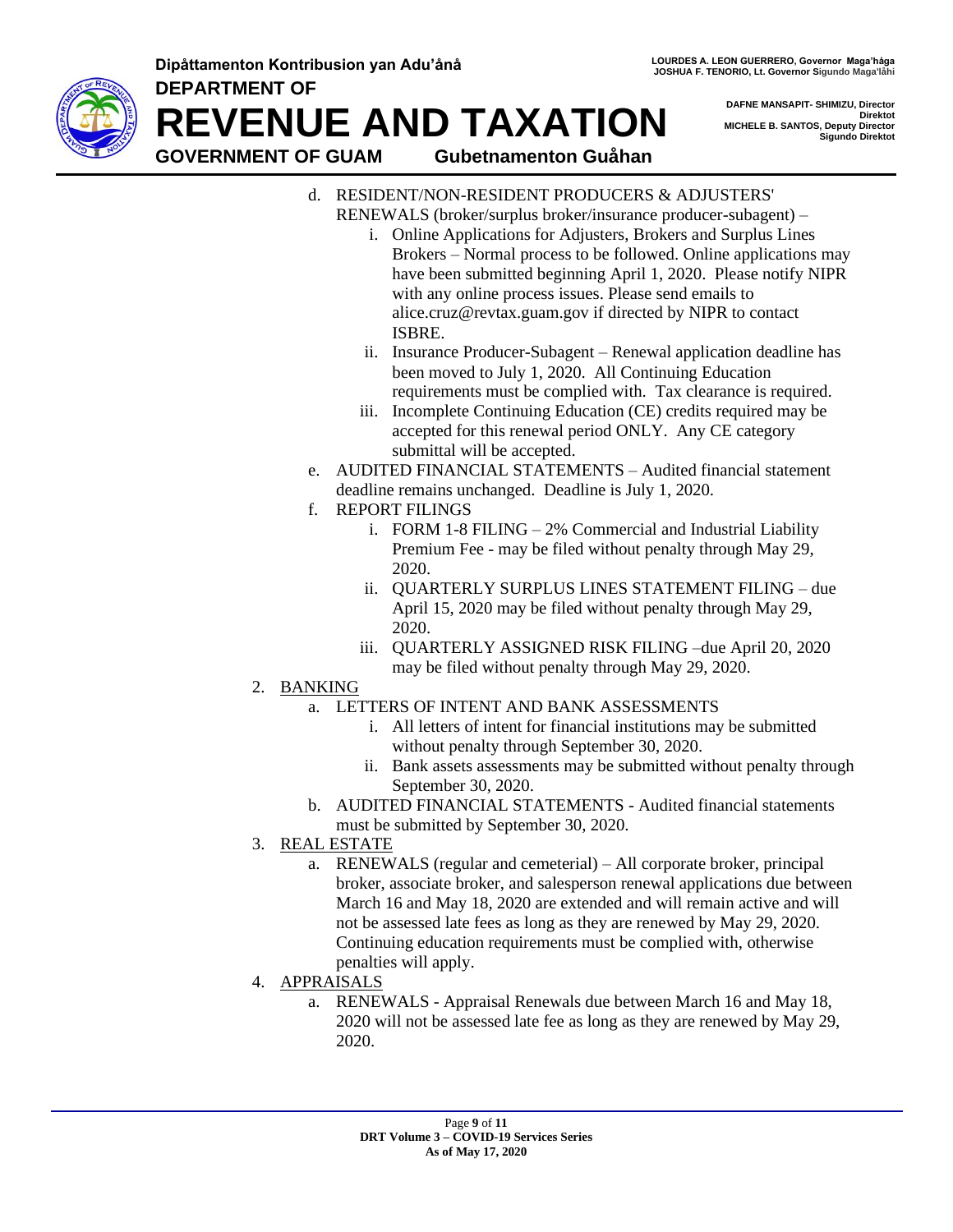**Dipåttamenton Kontribusion yan Adu'ånå LOURDES ALLEON GUERRERO, Governor Maga**'håga **DEPARTMENT OF**



**REVENUE AND TAXATION**

**DAFNE MANSAPIT- SHIMIZU, Director Direktot MICHELE B. SANTOS, Deputy Director Sigundo Direktot**

**GOVERNMENT OF GUAM Gubetnamenton Guåhan**

- d. RESIDENT/NON-RESIDENT PRODUCERS & ADJUSTERS' RENEWALS (broker/surplus broker/insurance producer-subagent) –
	- i. Online Applications for Adjusters, Brokers and Surplus Lines Brokers – Normal process to be followed. Online applications may have been submitted beginning April 1, 2020. Please notify NIPR with any online process issues. Please send emails to alice.cruz@revtax.guam.gov if directed by NIPR to contact ISBRE.
	- ii. Insurance Producer-Subagent Renewal application deadline has been moved to July 1, 2020. All Continuing Education requirements must be complied with. Tax clearance is required.
	- iii. Incomplete Continuing Education (CE) credits required may be accepted for this renewal period ONLY. Any CE category submittal will be accepted.
- e. AUDITED FINANCIAL STATEMENTS Audited financial statement deadline remains unchanged. Deadline is July 1, 2020.
- f. REPORT FILINGS
	- i. FORM 1-8 FILING 2% Commercial and Industrial Liability Premium Fee - may be filed without penalty through May 29, 2020.
	- ii. QUARTERLY SURPLUS LINES STATEMENT FILING due April 15, 2020 may be filed without penalty through May 29, 2020.
	- iii. QUARTERLY ASSIGNED RISK FILING –due April 20, 2020 may be filed without penalty through May 29, 2020.
- 2. BANKING
	- a. LETTERS OF INTENT AND BANK ASSESSMENTS
		- i. All letters of intent for financial institutions may be submitted without penalty through September 30, 2020.
		- ii. Bank assets assessments may be submitted without penalty through September 30, 2020.
	- b. AUDITED FINANCIAL STATEMENTS Audited financial statements must be submitted by September 30, 2020.
- 3. REAL ESTATE
	- a. RENEWALS (regular and cemeterial) All corporate broker, principal broker, associate broker, and salesperson renewal applications due between March 16 and May 18, 2020 are extended and will remain active and will not be assessed late fees as long as they are renewed by May 29, 2020. Continuing education requirements must be complied with, otherwise penalties will apply.
- 4. APPRAISALS
	- a. RENEWALS Appraisal Renewals due between March 16 and May 18, 2020 will not be assessed late fee as long as they are renewed by May 29, 2020.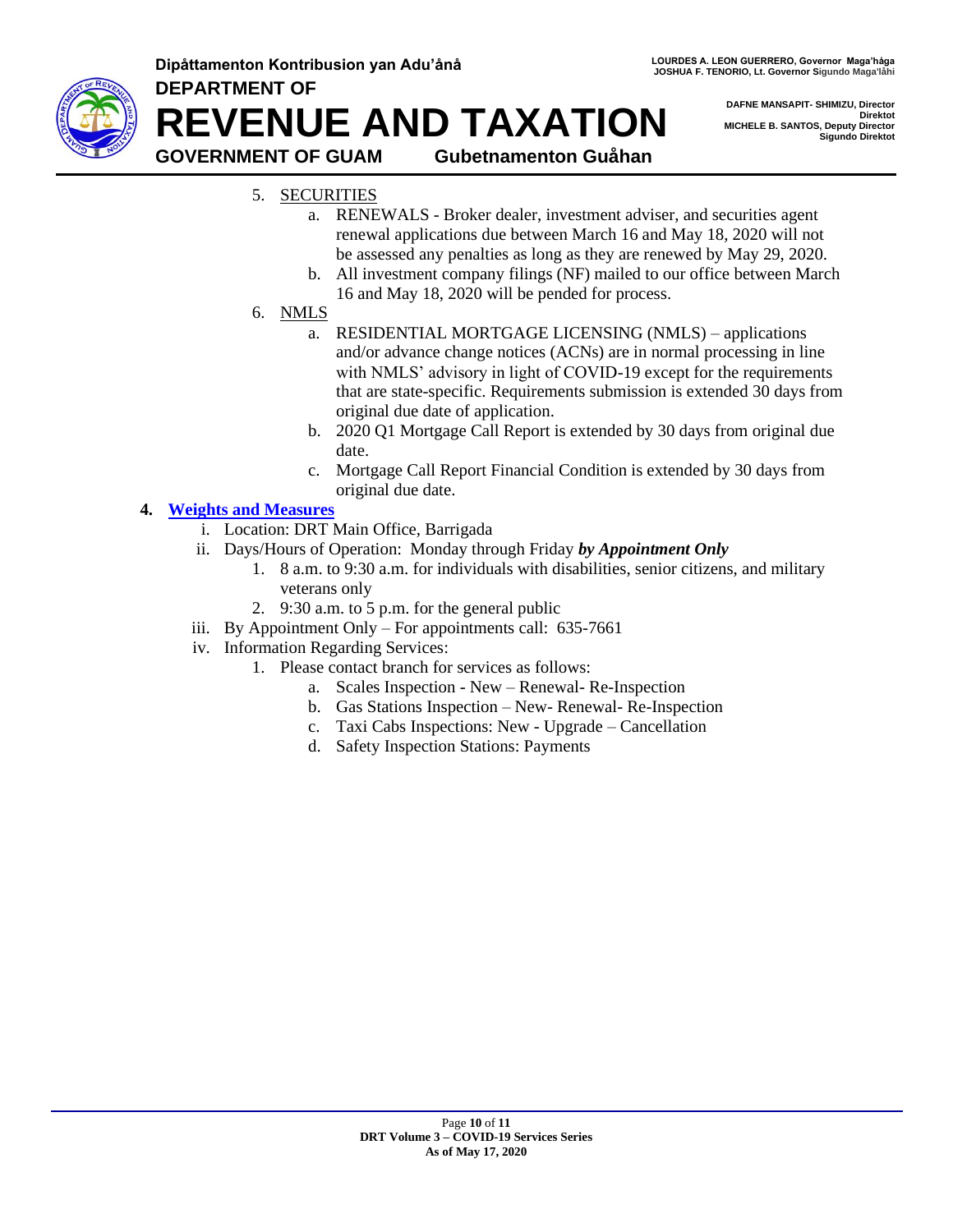

**DEPARTMENT OF REVENUE AND TAXATION GOVERNMENT OF GUAM Gubetnamenton Guåhan**

**DAFNE MANSAPIT- SHIMIZU, Director Direktot MICHELE B. SANTOS, Deputy Director Sigundo Direktot**

# 5. SECURITIES

- a. RENEWALS Broker dealer, investment adviser, and securities agent renewal applications due between March 16 and May 18, 2020 will not be assessed any penalties as long as they are renewed by May 29, 2020.
- b. All investment company filings (NF) mailed to our office between March 16 and May 18, 2020 will be pended for process.

## 6. NMLS

- a. RESIDENTIAL MORTGAGE LICENSING (NMLS) applications and/or advance change notices (ACNs) are in normal processing in line with NMLS' advisory in light of COVID-19 except for the requirements that are state-specific. Requirements submission is extended 30 days from original due date of application.
- b. 2020 Q1 Mortgage Call Report is extended by 30 days from original due date.
- c. Mortgage Call Report Financial Condition is extended by 30 days from original due date.

## <span id="page-9-0"></span>**4. [Weights and Measures](#page-9-0)**

- i. Location: DRT Main Office, Barrigada
- ii. Days/Hours of Operation: Monday through Friday *by Appointment Only*
	- 1. 8 a.m. to 9:30 a.m. for individuals with disabilities, senior citizens, and military veterans only
	- 2. 9:30 a.m. to 5 p.m. for the general public
- iii. By Appointment Only For appointments call: 635-7661
- iv. Information Regarding Services:
	- 1. Please contact branch for services as follows:
		- a. Scales Inspection New Renewal- Re-Inspection
		- b. Gas Stations Inspection New- Renewal- Re-Inspection
		- c. Taxi Cabs Inspections: New Upgrade Cancellation
		- d. Safety Inspection Stations: Payments